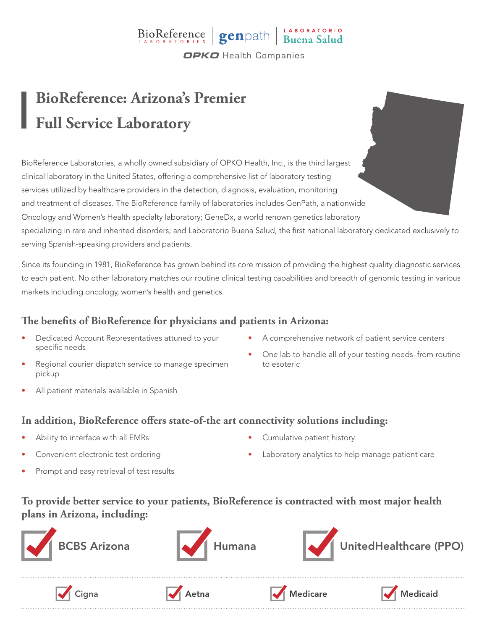## BioReference genpath Buena Salud **OPKO** Health Companies

# **BioReference: Arizona's Premier Full Service Laboratory**

BioReference Laboratories, a wholly owned subsidiary of OPKO Health, Inc., is the third largest clinical laboratory in the United States, offering a comprehensive list of laboratory testing services utilized by healthcare providers in the detection, diagnosis, evaluation, monitoring and treatment of diseases. The BioReference family of laboratories includes GenPath, a nationwide Oncology and Women's Health specialty laboratory; GeneDx, a world renown genetics laboratory specializing in rare and inherited disorders; and Laboratorio Buena Salud, the first national laboratory dedicated exclusively to serving Spanish-speaking providers and patients.

Since its founding in 1981, BioReference has grown behind its core mission of providing the highest quality diagnostic services to each patient. No other laboratory matches our routine clinical testing capabilities and breadth of genomic testing in various markets including oncology, women's health and genetics.

### **The benefits of BioReference for physicians and patients in Arizona:**

- Dedicated Account Representatives attuned to your specific needs
- Regional courier dispatch service to manage specimen pickup
- All patient materials available in Spanish
- A comprehensive network of patient service centers
- One lab to handle all of your testing needs–from routine to esoteric

#### **In addition, BioReference offers state-of-the art connectivity solutions including:**

- Ability to interface with all EMRs
- Convenient electronic test ordering
- Prompt and easy retrieval of test results
- Cumulative patient history
- Laboratory analytics to help manage patient care

### **To provide better service to your patients, BioReference is contracted with most major health plans in Arizona, including:**